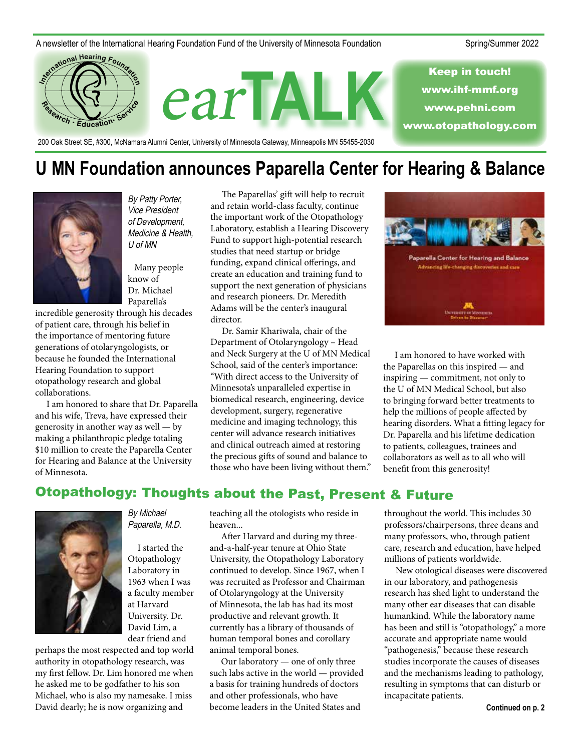#### A newsletter of the International Hearing Foundation Fund of the University of Minnesota Foundation Spring/Summer 2022



**U MN Foundation announces Paparella Center for Hearing & Balance**



By Patty Porter, Vice President of Development, Medicine & Health, U of MN

 Many people know of Dr. Michael Paparella's

incredible generosity through his decades of patient care, through his belief in the importance of mentoring future generations of otolaryngologists, or because he founded the International Hearing Foundation to support otopathology research and global collaborations.

I am honored to share that Dr. Paparella and his wife, Treva, have expressed their generosity in another way as well — by making a philanthropic pledge totaling \$10 million to create the Paparella Center for Hearing and Balance at the University of Minnesota.

The Paparellas' gift will help to recruit and retain world-class faculty, continue the important work of the Otopathology Laboratory, establish a Hearing Discovery Fund to support high-potential research studies that need startup or bridge funding, expand clinical offerings, and create an education and training fund to support the next generation of physicians and research pioneers. Dr. Meredith Adams will be the center's inaugural director.

Dr. Samir Khariwala, chair of the Department of Otolaryngology – Head and Neck Surgery at the U of MN Medical School, said of the center's importance: "With direct access to the University of Minnesota's unparalleled expertise in biomedical research, engineering, device development, surgery, regenerative medicine and imaging technology, this center will advance research initiatives and clinical outreach aimed at restoring the precious gifts of sound and balance to those who have been living without them."



I am honored to have worked with the Paparellas on this inspired — and inspiring — commitment, not only to the U of MN Medical School, but also to bringing forward better treatments to help the millions of people affected by hearing disorders. What a fitting legacy for Dr. Paparella and his lifetime dedication to patients, colleagues, trainees and collaborators as well as to all who will benefit from this generosity!

## Otopathology: Thoughts about the Past, Present & Future



By Michael Paparella, M.D.

I started the Otopathology Laboratory in 1963 when I was a faculty member at Harvard University. Dr. David Lim, a dear friend and

perhaps the most respected and top world authority in otopathology research, was my first fellow. Dr. Lim honored me when he asked me to be godfather to his son Michael, who is also my namesake. I miss David dearly; he is now organizing and

teaching all the otologists who reside in heaven...

After Harvard and during my threeand-a-half-year tenure at Ohio State University, the Otopathology Laboratory continued to develop. Since 1967, when I was recruited as Professor and Chairman of Otolaryngology at the University of Minnesota, the lab has had its most productive and relevant growth. It currently has a library of thousands of human temporal bones and corollary animal temporal bones.

Our laboratory — one of only three such labs active in the world — provided a basis for training hundreds of doctors and other professionals, who have become leaders in the United States and

throughout the world. This includes 30 professors/chairpersons, three deans and many professors, who, through patient care, research and education, have helped millions of patients worldwide.

New otological diseases were discovered in our laboratory, and pathogenesis research has shed light to understand the many other ear diseases that can disable humankind. While the laboratory name has been and still is "otopathology," a more accurate and appropriate name would "pathogenesis," because these research studies incorporate the causes of diseases and the mechanisms leading to pathology, resulting in symptoms that can disturb or incapacitate patients.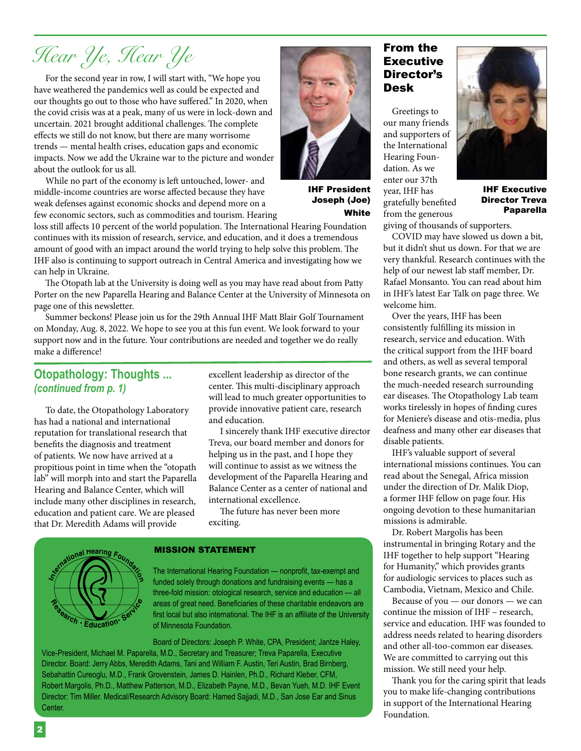# *Hear Ye, Hear Ye*

For the second year in row, I will start with, "We hope you have weathered the pandemics well as could be expected and our thoughts go out to those who have suffered." In 2020, when the covid crisis was at a peak, many of us were in lock-down and uncertain. 2021 brought additional challenges. The complete effects we still do not know, but there are many worrisome trends — mental health crises, education gaps and economic impacts. Now we add the Ukraine war to the picture and wonder about the outlook for us all.

While no part of the economy is left untouched, lower- and middle-income countries are worse affected because they have weak defenses against economic shocks and depend more on a few economic sectors, such as commodities and tourism. Hearing

loss still affects 10 percent of the world population. The International Hearing Foundation continues with its mission of research, service, and education, and it does a tremendous amount of good with an impact around the world trying to help solve this problem. The IHF also is continuing to support outreach in Central America and investigating how we can help in Ukraine.

The Otopath lab at the University is doing well as you may have read about from Patty Porter on the new Paparella Hearing and Balance Center at the University of Minnesota on page one of this newsletter.

Summer beckons! Please join us for the 29th Annual IHF Matt Blair Golf Tournament on Monday, Aug. 8, 2022. We hope to see you at this fun event. We look forward to your support now and in the future. Your contributions are needed and together we do really make a difference!

### **Otopathology: Thoughts ...**  *(continued from p. 1)*

To date, the Otopathology Laboratory has had a national and international reputation for translational research that benefits the diagnosis and treatment of patients. We now have arrived at a propitious point in time when the "otopath lab" will morph into and start the Paparella Hearing and Balance Center, which will include many other disciplines in research, education and patient care. We are pleased that Dr. Meredith Adams will provide

excellent leadership as director of the center. This multi-disciplinary approach will lead to much greater opportunities to provide innovative patient care, research and education.

I sincerely thank IHF executive director Treva, our board member and donors for helping us in the past, and I hope they will continue to assist as we witness the development of the Paparella Hearing and Balance Center as a center of national and international excellence.

The future has never been more exciting.



#### MISSION STATEMENT

The International Hearing Foundation — nonprofit, tax-exempt and funded solely through donations and fundraising events — has a three-fold mission: otological research, service and education — all areas of great need. Beneficiaries of these charitable endeavors are first local but also international. The IHF is an affiliate of the University of Minnesota Foundation.

Board of Directors: Joseph P. White, CPA, President; Jantze Haley,

Vice-President, Michael M. Paparella, M.D., Secretary and Treasurer; Treva Paparella, Executive Director. Board: Jerry Abbs, Meredith Adams, Tani and William F. Austin, Teri Austin, Brad Birnberg, Sebahattin Cureoglu, M.D., Frank Grovenstein, James D. Hainlen, Ph.D., Richard Kleber, CFM, Robert Margolis, Ph.D., Matthew Patterson, M.D., Elizabeth Payne, M.D., Bevan Yueh, M.D. IHF Event Director: Tim Miller. Medical/Research Advisory Board: Hamed Sajjadi, M.D., San Jose Ear and Sinus Center.

### From the Executive Director's Desk

 Greetings to our many friends and supporters of the International Hearing Foundation. As we enter our 37th year, IHF has gratefully benefited from the generous

IHF President Joseph (Joe)

White



IHF Executive Director Treva Paparella

giving of thousands of supporters.

COVID may have slowed us down a bit, but it didn't shut us down. For that we are very thankful. Research continues with the help of our newest lab staff member, Dr. Rafael Monsanto. You can read about him in IHF's latest Ear Talk on page three. We welcome him.

Over the years, IHF has been consistently fulfilling its mission in research, service and education. With the critical support from the IHF board and others, as well as several temporal bone research grants, we can continue the much-needed research surrounding ear diseases. The Otopathology Lab team works tirelessly in hopes of finding cures for Meniere's disease and otis-media, plus deafness and many other ear diseases that disable patients.

IHF's valuable support of several international missions continues. You can read about the Senegal, Africa mission under the direction of Dr. Malik Diop, a former IHF fellow on page four. His ongoing devotion to these humanitarian missions is admirable.

Dr. Robert Margolis has been instrumental in bringing Rotary and the IHF together to help support "Hearing for Humanity," which provides grants for audiologic services to places such as Cambodia, Vietnam, Mexico and Chile.

Because of you — our donors — we can continue the mission of IHF – research, service and education. IHF was founded to address needs related to hearing disorders and other all-too-common ear diseases. We are committed to carrying out this mission. We still need your help.

Thank you for the caring spirit that leads you to make life-changing contributions in support of the International Hearing Foundation.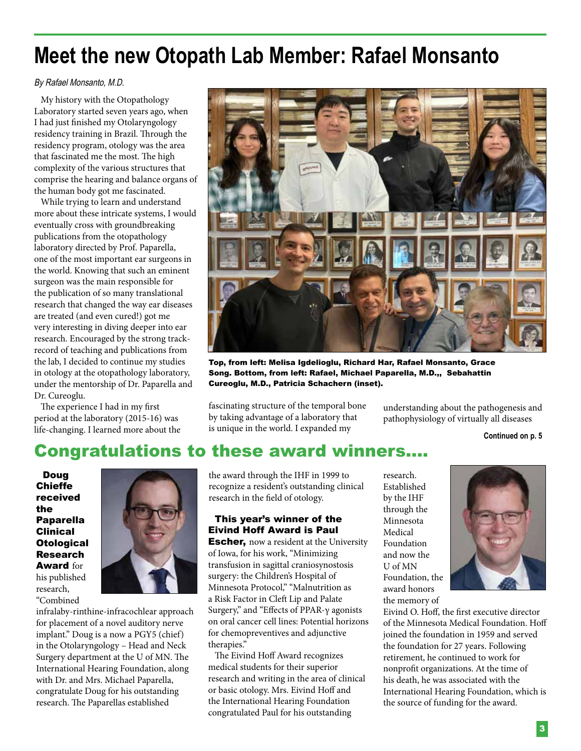# **Meet the new Otopath Lab Member: Rafael Monsanto**

### By Rafael Monsanto, M.D.

My history with the Otopathology Laboratory started seven years ago, when I had just finished my Otolaryngology residency training in Brazil. Through the residency program, otology was the area that fascinated me the most. The high complexity of the various structures that comprise the hearing and balance organs of the human body got me fascinated.

While trying to learn and understand more about these intricate systems, I would eventually cross with groundbreaking publications from the otopathology laboratory directed by Prof. Paparella, one of the most important ear surgeons in the world. Knowing that such an eminent surgeon was the main responsible for the publication of so many translational research that changed the way ear diseases are treated (and even cured!) got me very interesting in diving deeper into ear research. Encouraged by the strong trackrecord of teaching and publications from the lab, I decided to continue my studies in otology at the otopathology laboratory, under the mentorship of Dr. Paparella and Dr. Cureoglu.

The experience I had in my first period at the laboratory (2015-16) was life-changing. I learned more about the



Top, from left: Melisa Igdelioglu, Richard Har, Rafael Monsanto, Grace Song. Bottom, from left: Rafael, Michael Paparella, M.D.,, Sebahattin Cureoglu, M.D., Patricia Schachern (inset).

fascinating structure of the temporal bone by taking advantage of a laboratory that is unique in the world. I expanded my

understanding about the pathogenesis and pathophysiology of virtually all diseases

**Continued on p. 5**

## Congratulations to these award winners....

Doug Chieffe received the Paparella Clinical **Otological** Research Award for his published research, "Combined



infralaby-rinthine-infracochlear approach for placement of a novel auditory nerve implant." Doug is a now a PGY5 (chief) in the Otolaryngology – Head and Neck Surgery department at the U of MN. The International Hearing Foundation, along with Dr. and Mrs. Michael Paparella, congratulate Doug for his outstanding research. The Paparellas established

the award through the IHF in 1999 to recognize a resident's outstanding clinical research in the field of otology.

### This year's winner of the Eivind Hoff Award is Paul

**Escher,** now a resident at the University of Iowa, for his work, "Minimizing transfusion in sagittal craniosynostosis surgery: the Children's Hospital of Minnesota Protocol," "Malnutrition as a Risk Factor in Cleft Lip and Palate Surgery," and "Effects of PPAR-γ agonists on oral cancer cell lines: Potential horizons for chemopreventives and adjunctive therapies."

The Eivind Hoff Award recognizes medical students for their superior research and writing in the area of clinical or basic otology. Mrs. Eivind Hoff and the International Hearing Foundation congratulated Paul for his outstanding

research. Established by the IHF through the Minnesota Medical Foundation and now the U of MN Foundation, the award honors the memory of



Eivind O. Hoff, the first executive director of the Minnesota Medical Foundation. Hoff joined the foundation in 1959 and served the foundation for 27 years. Following retirement, he continued to work for nonprofit organizations. At the time of his death, he was associated with the International Hearing Foundation, which is the source of funding for the award.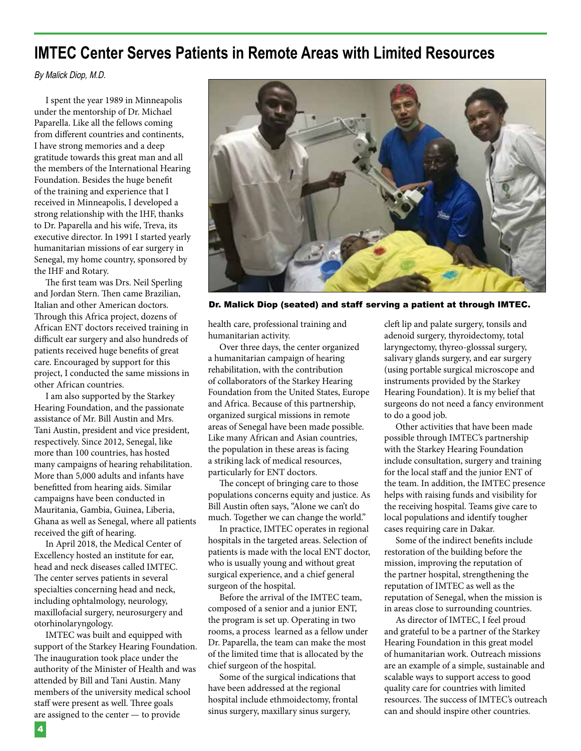## **IMTEC Center Serves Patients in Remote Areas with Limited Resources**

#### By Malick Diop, M.D.

I spent the year 1989 in Minneapolis under the mentorship of Dr. Michael Paparella. Like all the fellows coming from different countries and continents, I have strong memories and a deep gratitude towards this great man and all the members of the International Hearing Foundation. Besides the huge benefit of the training and experience that I received in Minneapolis, I developed a strong relationship with the IHF, thanks to Dr. Paparella and his wife, Treva, its executive director. In 1991 I started yearly humanitarian missions of ear surgery in Senegal, my home country, sponsored by the IHF and Rotary.

The first team was Drs. Neil Sperling and Jordan Stern. Then came Brazilian, Italian and other American doctors. Through this Africa project, dozens of African ENT doctors received training in difficult ear surgery and also hundreds of patients received huge benefits of great care. Encouraged by support for this project, I conducted the same missions in other African countries.

I am also supported by the Starkey Hearing Foundation, and the passionate assistance of Mr. Bill Austin and Mrs. Tani Austin, president and vice president, respectively. Since 2012, Senegal, like more than 100 countries, has hosted many campaigns of hearing rehabilitation. More than 5,000 adults and infants have benefitted from hearing aids. Similar campaigns have been conducted in Mauritania, Gambia, Guinea, Liberia, Ghana as well as Senegal, where all patients received the gift of hearing.

In April 2018, the Medical Center of Excellency hosted an institute for ear, head and neck diseases called IMTEC. The center serves patients in several specialties concerning head and neck, including ophtalmology, neurology, maxillofacial surgery, neurosurgery and otorhinolaryngology.

IMTEC was built and equipped with support of the Starkey Hearing Foundation. The inauguration took place under the authority of the Minister of Health and was attended by Bill and Tani Austin. Many members of the university medical school staff were present as well. Three goals are assigned to the center — to provide



Dr. Malick Diop (seated) and staff serving a patient at through IMTEC.

health care, professional training and humanitarian activity.

Over three days, the center organized a humanitarian campaign of hearing rehabilitation, with the contribution of collaborators of the Starkey Hearing Foundation from the United States, Europe and Africa. Because of this partnership, organized surgical missions in remote areas of Senegal have been made possible. Like many African and Asian countries, the population in these areas is facing a striking lack of medical resources, particularly for ENT doctors.

The concept of bringing care to those populations concerns equity and justice. As Bill Austin often says, "Alone we can't do much. Together we can change the world."

In practice, IMTEC operates in regional hospitals in the targeted areas. Selection of patients is made with the local ENT doctor, who is usually young and without great surgical experience, and a chief general surgeon of the hospital.

Before the arrival of the IMTEC team, composed of a senior and a junior ENT, the program is set up. Operating in two rooms, a process learned as a fellow under Dr. Paparella, the team can make the most of the limited time that is allocated by the chief surgeon of the hospital.

Some of the surgical indications that have been addressed at the regional hospital include ethmoidectomy, frontal sinus surgery, maxillary sinus surgery,

cleft lip and palate surgery, tonsils and adenoid surgery, thyroidectomy, total laryngectomy, thyreo-glosssal surgery, salivary glands surgery, and ear surgery (using portable surgical microscope and instruments provided by the Starkey Hearing Foundation). It is my belief that surgeons do not need a fancy environment to do a good job.

Other activities that have been made possible through IMTEC's partnership with the Starkey Hearing Foundation include consultation, surgery and training for the local staff and the junior ENT of the team. In addition, the IMTEC presence helps with raising funds and visibility for the receiving hospital. Teams give care to local populations and identify tougher cases requiring care in Dakar.

Some of the indirect benefits include restoration of the building before the mission, improving the reputation of the partner hospital, strengthening the reputation of IMTEC as well as the reputation of Senegal, when the mission is in areas close to surrounding countries.

As director of IMTEC, I feel proud and grateful to be a partner of the Starkey Hearing Foundation in this great model of humanitarian work. Outreach missions are an example of a simple, sustainable and scalable ways to support access to good quality care for countries with limited resources. The success of IMTEC's outreach can and should inspire other countries.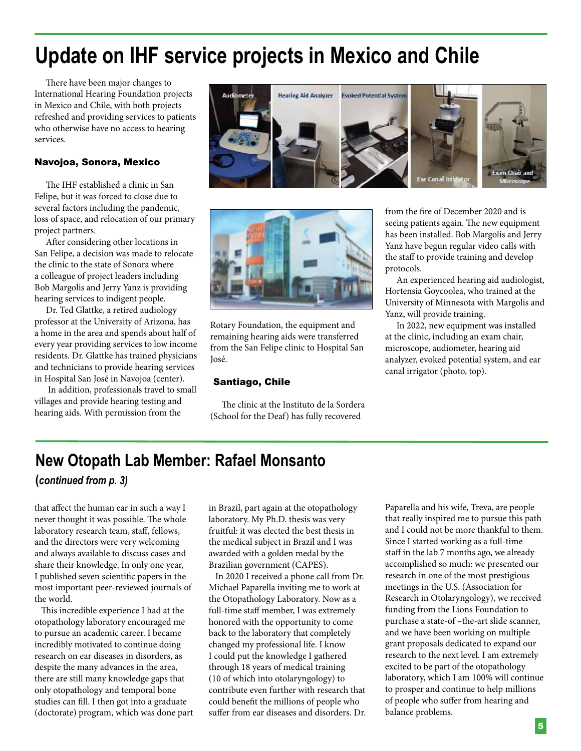# **Update on IHF service projects in Mexico and Chile**

There have been major changes to International Hearing Foundation projects in Mexico and Chile, with both projects refreshed and providing services to patients who otherwise have no access to hearing services.

### Navojoa, Sonora, Mexico

The IHF established a clinic in San Felipe, but it was forced to close due to several factors including the pandemic, loss of space, and relocation of our primary project partners.

After considering other locations in San Felipe, a decision was made to relocate the clinic to the state of Sonora where a colleague of project leaders including Bob Margolis and Jerry Yanz is providing hearing services to indigent people.

Dr. Ted Glattke, a retired audiology professor at the University of Arizona, has a home in the area and spends about half of every year providing services to low income residents. Dr. Glattke has trained physicians and technicians to provide hearing services in Hospital San José in Navojoa (center).

 In addition, professionals travel to small villages and provide hearing testing and hearing aids. With permission from the





Rotary Foundation, the equipment and remaining hearing aids were transferred from the San Felipe clinic to Hospital San José.

### Santiago, Chile

The clinic at the Instituto de la Sordera (School for the Deaf) has fully recovered

from the fire of December 2020 and is seeing patients again. The new equipment has been installed. Bob Margolis and Jerry Yanz have begun regular video calls with the staff to provide training and develop protocols.

An experienced hearing aid audiologist, Hortensia Goycoolea, who trained at the University of Minnesota with Margolis and Yanz, will provide training.

In 2022, new equipment was installed at the clinic, including an exam chair, microscope, audiometer, hearing aid analyzer, evoked potential system, and ear canal irrigator (photo, top).

## **New Otopath Lab Member: Rafael Monsanto**

**(***continued from p. 3)*

that affect the human ear in such a way I never thought it was possible. The whole laboratory research team, staff, fellows, and the directors were very welcoming and always available to discuss cases and share their knowledge. In only one year, I published seven scientific papers in the most important peer-reviewed journals of the world.

This incredible experience I had at the otopathology laboratory encouraged me to pursue an academic career. I became incredibly motivated to continue doing research on ear diseases in disorders, as despite the many advances in the area, there are still many knowledge gaps that only otopathology and temporal bone studies can fill. I then got into a graduate (doctorate) program, which was done part

in Brazil, part again at the otopathology laboratory. My Ph.D. thesis was very fruitful: it was elected the best thesis in the medical subject in Brazil and I was awarded with a golden medal by the Brazilian government (CAPES).

In 2020 I received a phone call from Dr. Michael Paparella inviting me to work at the Otopathology Laboratory. Now as a full-time staff member, I was extremely honored with the opportunity to come back to the laboratory that completely changed my professional life. I know I could put the knowledge I gathered through 18 years of medical training (10 of which into otolaryngology) to contribute even further with research that could benefit the millions of people who suffer from ear diseases and disorders. Dr. Paparella and his wife, Treva, are people that really inspired me to pursue this path and I could not be more thankful to them. Since I started working as a full-time staff in the lab 7 months ago, we already accomplished so much: we presented our research in one of the most prestigious meetings in the U.S. (Association for Research in Otolaryngology), we received funding from the Lions Foundation to purchase a state-of –the-art slide scanner, and we have been working on multiple grant proposals dedicated to expand our research to the next level. I am extremely excited to be part of the otopathology laboratory, which I am 100% will continue to prosper and continue to help millions of people who suffer from hearing and balance problems.